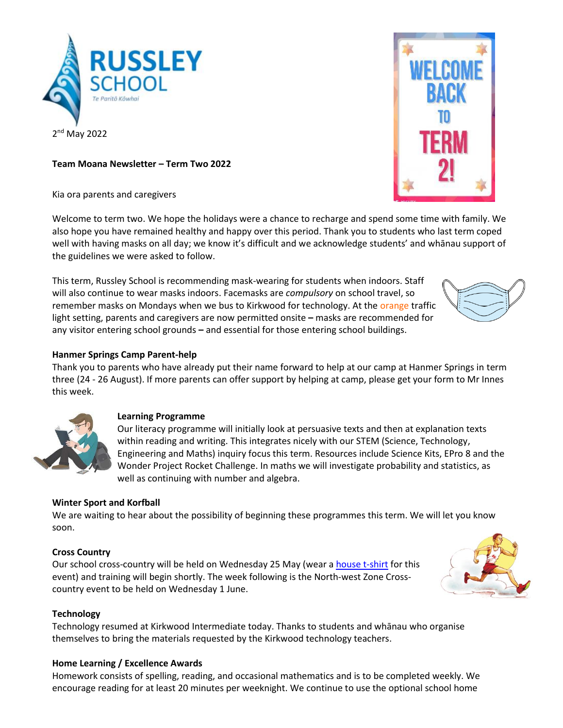

**Team Moana Newsletter – Term Two 2022**

Kia ora parents and caregivers

Welcome to term two. We hope the holidays were a chance to recharge and spend some time with family. We also hope you have remained healthy and happy over this period. Thank you to students who last term coped well with having masks on all day; we know it's difficult and we acknowledge students' and whānau support of the guidelines we were asked to follow.

This term, Russley School is recommending mask-wearing for students when indoors. Staff will also continue to wear masks indoors. Facemasks are *compulsory* on school travel, so remember masks on Mondays when we bus to Kirkwood for technology. At the orange traffic light setting, parents and caregivers are now permitted onsite **–** masks are recommended for any visitor entering school grounds **–** and essential for those entering school buildings.

# **Hanmer Springs Camp Parent-help**

Thank you to parents who have already put their name forward to help at our camp at Hanmer Springs in term three (24 - 26 August). If more parents can offer support by helping at camp, please get your form to Mr Innes this week.



#### **Learning Programme**

Our literacy programme will initially look at persuasive texts and then at explanation texts within reading and writing. This integrates nicely with our STEM (Science, Technology, Engineering and Maths) inquiry focus this term. Resources include Science Kits, EPro 8 and the Wonder Project Rocket Challenge. In maths we will investigate probability and statistics, as well as continuing with number and algebra.

# **Winter Sport and Korfball**

We are waiting to hear about the possibility of beginning these programmes this term. We will let you know soon.

#### **Cross Country**

Our school cross-country will be held on Wednesday 25 May (wear a [house t-shirt](https://www.mainlanduniforms.nz/russley-primary/850-4744-house-t-shirts-russley.html#/color-red/size-4) for this event) and training will begin shortly. The week following is the North-west Zone Crosscountry event to be held on Wednesday 1 June.

#### **Technology**

Technology resumed at Kirkwood Intermediate today. Thanks to students and whānau who organise themselves to bring the materials requested by the Kirkwood technology teachers.

#### **Home Learning / Excellence Awards**

Homework consists of spelling, reading, and occasional mathematics and is to be completed weekly. We encourage reading for at least 20 minutes per weeknight. We continue to use the optional school home